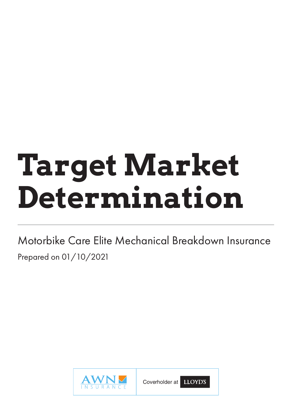# **Target Market Determination**

Motorbike Care Elite Mechanical Breakdown Insurance Prepared on 01/10/2021



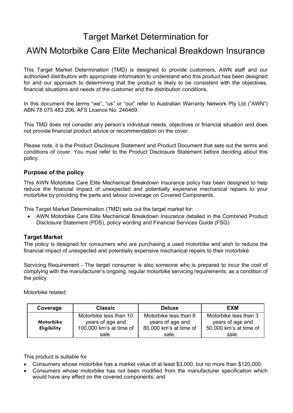# Target Market Determination for

# AWN Motorbike Care Elite Mechanical Breakdown Insurance

This Target Market Determination (TMD) is designed to provide customers, AWN staff and our authorised distributors with appropriate information to understand who this product has been designed for and our approach to determining that the product is likely to be consistent with the objectives, financial situations and needs of the customer and the distribution conditions.

In this document the terms "we", "us" or "our" refer to Australian Warranty Network Pty Ltd ("AWN") ABN 78 075 483 206, AFS Licence No. 246469.

This TMD does not consider any person's individual needs, objectives or financial situation and does not provide financial product advice or recommendation on the cover.

Please note, it is the Product Disclosure Statement and Product Document that sets out the terms and conditions of cover. You must refer to the Product Disclosure Statement before deciding about this policy.

#### **Purpose of the policy**

This AWN Motorbike Care Elite Mechanical Breakdown Insurance policy has been designed to help reduce the financial impact of unexpected and potentially expensive mechanical repairs to your motorbike by providing the parts and labour coverage on Covered Components.

This Target Market Determination (TMD) sets out the target market for:

• AWN Motorbike Care Elite Mechanical Breakdown Insurance detailed in the Combined Product Disclosure Statement (PDS), policy wording and Financial Services Guide (FSG)

## **Target Market**

The policy is designed for consumers who are purchasing a used motorbike and wish to reduce the financial impact of unexpected and potentially expensive mechanical repairs to their motorbike.

Servicing Requirement - The target consumer is also someone who is prepared to incur the cost of complying with the manufacturer's ongoing, regular motorbike servicing requirements, as a condition of the policy.

Motorbike related:

| Coverage           | <b>Classic</b>          | <b>Deluxe</b>          | <b>EXM</b>             |
|--------------------|-------------------------|------------------------|------------------------|
|                    | Motorbike less than 10  | Motorbike less than 8  | Motorbike less than 3  |
| Motorbike          | years of age and        | years of age and       | years of age and       |
| <b>Eligibility</b> | 100,000 km's at time of | 80,000 km's at time of | 50,000 km's at time of |
|                    | sale.                   | sale.                  | sale.                  |

This product is suitable for

- Consumers whose motorbike has a market value of at least \$3,000, but no more than \$120,000;
- Consumers whose motorbike has not been modified from the manufacturer specification which would have any effect on the covered components; and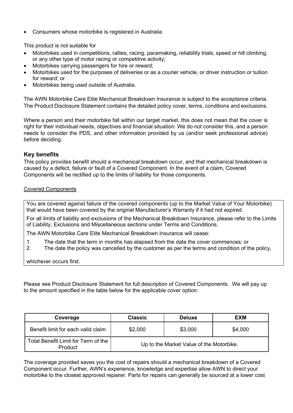• Consumers whose motorbike is registered in Australia.

This product is not suitable for

- Motorbikes used in competitions, rallies, racing, pacemaking, reliability trials, speed or hill climbing, or any other type of motor racing or competitive activity;
- Motorbikes carrying passengers for hire or reward;
- Motorbikes used for the purposes of deliveries or as a courier vehicle, or driver instruction or tuition for reward; or
- Motorbikes being used outside of Australia.

The AWN Motorbike Care Elite Mechanical Breakdown Insurance is subject to the acceptance criteria. The Product Disclosure Statement contains the detailed policy cover, terms, conditions and exclusions.

Where a person and their motorbike fall within our target market, this does not mean that the cover is right for their individual needs, objectives and financial situation. We do not consider this, and a person needs to consider the PDS, and other information provided by us (and/or seek professional advice) before deciding.

## **Key benefits**

This policy provides benefit should a mechanical breakdown occur, and that mechanical breakdown is caused by a defect, failure or fault of a Covered Component. In the event of a claim, Covered Components will be rectified up to the limits of liability for those components.

#### Covered Components

You are covered against failure of the covered components (up to the Market Value of Your Motorbike) that would have been covered by the original Manufacturer's Warranty if it had not expired.

For all limits of liability and exclusions of the Mechanical Breakdown Insurance, please refer to the Limits of Liability, Exclusions and Miscellaneous sections under Terms and Conditions.

The AWN Motorbike Care Elite Mechanical Breakdown Insurance will cease:

- 1. The date that the term in months has elapsed from the date the cover commences; or
- 2. The date the policy was cancelled by the customer as per the terms and condition of the policy,

whichever occurs first.

Please see Product Disclosure Statement for full description of Covered Components. We will pay up to the amount specified in the table below for the applicable cover option.

| Coverage                                       | <b>Classic</b>                           | <b>Deluxe</b> | <b>EXM</b> |
|------------------------------------------------|------------------------------------------|---------------|------------|
| Benefit limit for each valid claim             | \$2,000                                  | \$3,000       | \$4,000    |
| Total Benefit Limit for Term of the<br>Product | Up to the Market Value of the Motorbike. |               |            |

The coverage provided saves you the cost of repairs should a mechanical breakdown of a Covered Component occur. Further, AWN's experience, knowledge and expertise allow AWN to direct your motorbike to the closest approved repairer. Parts for repairs can generally be sourced at a lower cost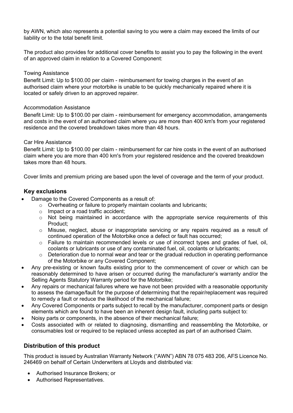by AWN, which also represents a potential saving to you were a claim may exceed the limits of our liability or to the total benefit limit.

The product also provides for additional cover benefits to assist you to pay the following in the event of an approved claim in relation to a Covered Component:

#### Towing Assistance

Benefit Limit: Up to \$100.00 per claim - reimbursement for towing charges in the event of an authorised claim where your motorbike is unable to be quickly mechanically repaired where it is located or safely driven to an approved repairer.

#### Accommodation Assistance

Benefit Limit: Up to \$100.00 per claim - reimbursement for emergency accommodation, arrangements and costs in the event of an authorised claim where you are more than 400 km's from your registered residence and the covered breakdown takes more than 48 hours.

#### Car Hire Assistance

Benefit Limit: Up to \$100.00 per claim - reimbursement for car hire costs in the event of an authorised claim where you are more than 400 km's from your registered residence and the covered breakdown takes more than 48 hours.

Cover limits and premium pricing are based upon the level of coverage and the term of your product.

## **Key exclusions**

- Damage to the Covered Components as a result of:
	- o Overheating or failure to properly maintain coolants and lubricants;
	- o Impact or a road traffic accident;
	- o Not being maintained in accordance with the appropriate service requirements of this Product;
	- $\circ$  Misuse, neglect, abuse or inappropriate servicing or any repairs required as a result of continued operation of the Motorbike once a defect or fault has occurred;
	- $\circ$  Failure to maintain recommended levels or use of incorrect types and grades of fuel, oil, coolants or lubricants or use of any contaminated fuel, oil, coolants or lubricants;
	- $\circ$  Deterioration due to normal wear and tear or the gradual reduction in operating performance of the Motorbike or any Covered Component;
- Any pre-existing or known faults existing prior to the commencement of cover or which can be reasonably determined to have arisen or occurred during the manufacturer's warranty and/or the Selling Agents Statutory Warranty period for the Motorbike;
- Any repairs or mechanical failures where we have not been provided with a reasonable opportunity to assess the damage/fault for the purpose of determining that the repair/replacement was required to remedy a fault or reduce the likelihood of the mechanical failure;
- Any Covered Components or parts subject to recall by the manufacturer, component parts or design elements which are found to have been an inherent design fault, including parts subject to:
- Noisy parts or components, in the absence of their mechanical failure;
- Costs associated with or related to diagnosing, dismantling and reassembling the Motorbike, or consumables lost or required to be replaced unless accepted as part of an authorised Claim.

# **Distribution of this product**

This product is issued by Australian Warranty Network ("AWN") ABN 78 075 483 206, AFS Licence No. 246469 on behalf of Certain Underwriters at Lloyds and distributed via:

- Authorised Insurance Brokers; or
- Authorised Representatives.